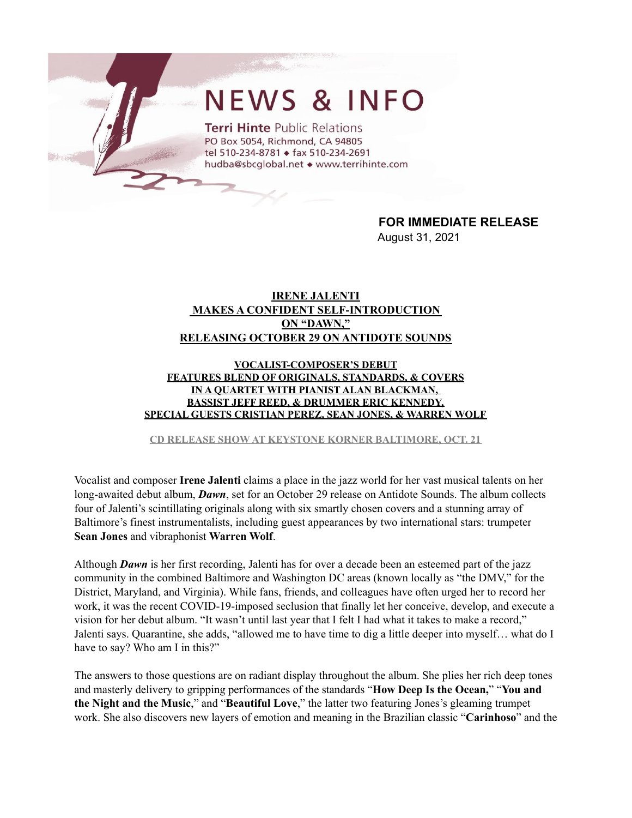## **NEWS & INFO**

**Terri Hinte Public Relations** PO Box 5054, Richmond, CA 94805 tel 510-234-8781 + fax 510-234-2691 hudba@sbcglobal.net • www.terrihinte.com

> **FOR IMMEDIATE RELEASE** August 31, 2021

## **IRENE JALENTI MAKES A CONFIDENT SELF-INTRODUCTION ON "DAWN," RELEASING OCTOBER 29 ON ANTIDOTE SOUNDS**

## **VOCALIST-COMPOSER'S DEBUT FEATURES BLEND OF ORIGINALS, STANDARDS, & COVERS IN A QUARTET WITH PIANIST ALAN BLACKMAN, BASSIST JEFF REED, & DRUMMER ERIC KENNEDY, SPECIAL GUESTS CRISTIAN PEREZ, SEAN JONES, & WARREN WOLF**

**CD RELEASE SHOW AT KEYSTONE KORNER BALTIMORE, OCT. 21**

Vocalist and composer **Irene Jalenti** claims a place in the jazz world for her vast musical talents on her long-awaited debut album, *Dawn*, set for an October 29 release on Antidote Sounds. The album collects four of Jalenti's scintillating originals along with six smartly chosen covers and a stunning array of Baltimore's finest instrumentalists, including guest appearances by two international stars: trumpeter **Sean Jones** and vibraphonist **Warren Wolf**.

Although *Dawn* is her first recording, Jalenti has for over a decade been an esteemed part of the jazz community in the combined Baltimore and Washington DC areas (known locally as "the DMV," for the District, Maryland, and Virginia). While fans, friends, and colleagues have often urged her to record her work, it was the recent COVID-19-imposed seclusion that finally let her conceive, develop, and execute a vision for her debut album. "It wasn't until last year that I felt I had what it takes to make a record," Jalenti says. Quarantine, she adds, "allowed me to have time to dig a little deeper into myself… what do I have to say? Who am I in this?"

The answers to those questions are on radiant display throughout the album. She plies her rich deep tones and masterly delivery to gripping performances of the standards "**How Deep Is the Ocean,**" "**You and the Night and the Music**," and "**Beautiful Love**," the latter two featuring Jones's gleaming trumpet work. She also discovers new layers of emotion and meaning in the Brazilian classic "**Carinhoso**" and the